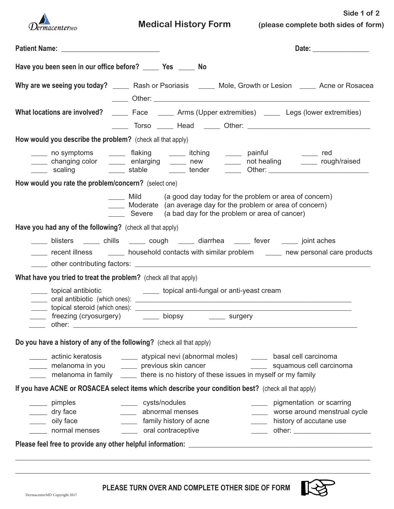

 **Medical History Form (please complete both sides of form)**

**Side 1 of 2**

| Have you been seen in our office before? _______ Yes _______ No       |                                                                                                                                                                                                                                       |
|-----------------------------------------------------------------------|---------------------------------------------------------------------------------------------------------------------------------------------------------------------------------------------------------------------------------------|
|                                                                       | Why are we seeing you today? _____ Rash or Psoriasis _____ Mole, Growth or Lesion ____ Acne or Rosacea                                                                                                                                |
|                                                                       | What locations are involved? ________ Face ________ Arms (Upper extremities) ______ Legs (lower extremities)                                                                                                                          |
| How would you describe the problem? (check all that apply)            |                                                                                                                                                                                                                                       |
|                                                                       | _____ no symptoms   _____ flaking   _____ itching   _____ painful     _____ red<br>_____ changing color _____ enlarging _____ new _____ not healing _____ rough/raised                                                                |
| How would you rate the problem/concern? (select one)                  |                                                                                                                                                                                                                                       |
|                                                                       | Mild (a good day today for the problem or area of concern)<br>Moderate (an average day for the problem or area of concern)<br>Severe (a bad day for the problem or area of cancer)                                                    |
| Have you had any of the following? (check all that apply)             |                                                                                                                                                                                                                                       |
|                                                                       | _____ blisters _____ chills _____ cough _____ diarrhea _____ fever _____ joint aches<br>recent illness ________ household contacts with similar problem _______ new personal care products                                            |
| What have you tried to treat the problem? (check all that apply)      |                                                                                                                                                                                                                                       |
|                                                                       | topical antibiotic and topical anti-fungal or anti-yeast cream<br>_____ freezing (cryosurgery) _______ biopsy _______ surgery                                                                                                         |
| Do you have a history of any of the following? (check all that apply) |                                                                                                                                                                                                                                       |
| melanoma in you _______ previous skin cancer                          | ectinic keratosis and the explical nevi (abnormal moles) and hasal cell carcinoma<br>squamous cell carcinoma<br>melanoma in family _______ there is no history of these issues in myself or my family                                 |
|                                                                       | If you have ACNE or ROSACEA select items which describe your condition best? (check all that apply)                                                                                                                                   |
| ____ pimples<br>dry face<br>_____ oily face                           | cysts/nodules<br>___ pigmentation or scarring<br>abnormal menses<br>worse around menstrual cycle<br>$\mathcal{L}(\mathcal{L}(\mathcal{L}))$<br>$\mathcal{L}(\mathcal{L})$<br>______ family history of acne<br>history of accutane use |

**\_\_\_\_\_\_\_\_\_\_\_\_\_\_\_\_\_\_\_\_\_\_\_\_\_\_\_\_\_\_\_\_\_\_\_\_\_\_\_\_\_\_\_\_\_\_\_\_\_\_\_\_\_\_\_\_\_\_\_\_\_\_\_\_\_\_\_\_\_\_\_\_\_\_\_\_\_\_\_\_\_\_\_\_\_\_\_\_\_\_\_\_\_\_\_\_\_\_\_\_\_\_\_\_\_\_\_\_\_\_**